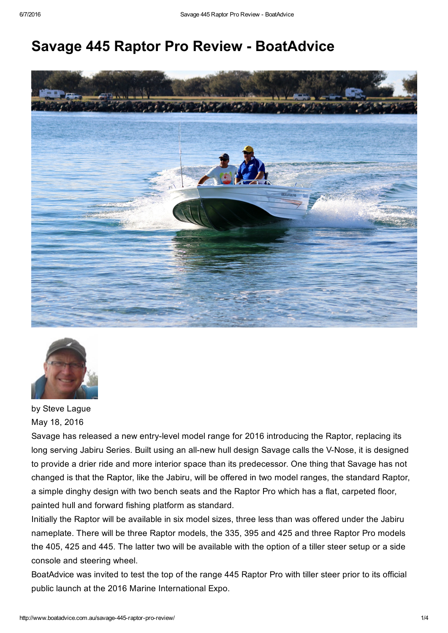# **Savage 445 Raptor Pro Review - BoatAdvice**





by Steve Lague May 18, 2016

Savage has released a new entry-level model range for 2016 introducing the Raptor, replacing its long serving Jabiru Series. Built using an all-new hull design Savage calls the V-Nose, it is designed to provide a drier ride and more interior space than its predecessor. One thing that Savage has not changed is that the Raptor, like the Jabiru, will be offered in two model ranges, the standard Raptor, a simple dinghy design with two bench seats and the Raptor Pro which has a flat, carpeted floor, painted hull and forward fishing platform as standard.

Initially the Raptor will be available in six model sizes, three less than was offered under the Jabiru nameplate. There will be three Raptor models, the 335, 395 and 425 and three Raptor Pro models the 405, 425 and 445. The latter two will be available with the option of a tiller steer setup or a side console and steering wheel.

BoatAdvice was invited to test the top of the range 445 Raptor Pro with tiller steer prior to its official public launch at the 2016 Marine International Expo.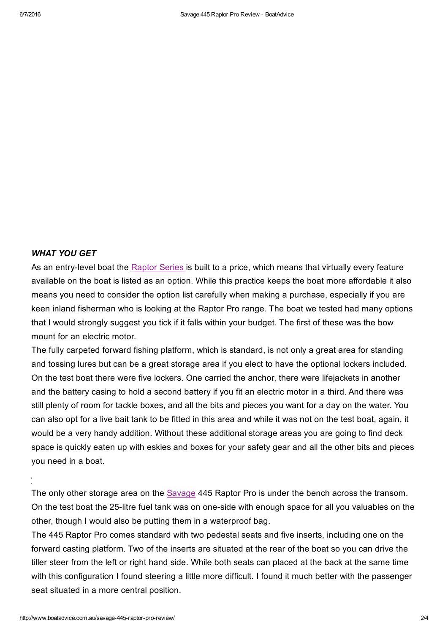### *WHAT YOU GET*

As an entry-level boat the [Raptor](http://www.boatadvice.com.au/savage-reveals-new-2016-models/) Series is built to a price, which means that virtually every feature available on the boat is listed as an option. While this practice keeps the boat more affordable it also means you need to consider the option list carefully when making a purchase, especially if you are keen inland fisherman who is looking at the Raptor Pro range. The boat we tested had many options that I would strongly suggest you tick if it falls within your budget. The first of these was the bow mount for an electric motor.

The fully carpeted forward fishing platform, which is standard, is not only a great area for standing and tossing lures but can be a great storage area if you elect to have the optional lockers included. On the test boat there were five lockers. One carried the anchor, there were lifejackets in another and the battery casing to hold a second battery if you fit an electric motor in a third. And there was still plenty of room for tackle boxes, and all the bits and pieces you want for a day on the water. You can also opt for a live bait tank to be fitted in this area and while it was not on the test boat, again, it would be a very handy addition. Without these additional storage areas you are going to find deck space is quickly eaten up with eskies and boxes for your safety gear and all the other bits and pieces you need in a boat.

The only other storage area on the **[Savage](http://www.boatadvice.com.au/savage-scorpion-525-review/) 445 Raptor Pro is under the bench across the transom**. On the test boat the 25-litre fuel tank was on one-side with enough space for all you valuables on the other, though I would also be putting them in a waterproof bag.

The 445 Raptor Pro comes standard with two pedestal seats and five inserts, including one on the forward casting platform. Two of the inserts are situated at the rear of the boat so you can drive the tiller steer from the left or right hand side. While both seats can placed at the back at the same time with this configuration I found steering a little more difficult. I found it much better with the passenger seat situated in a more central position.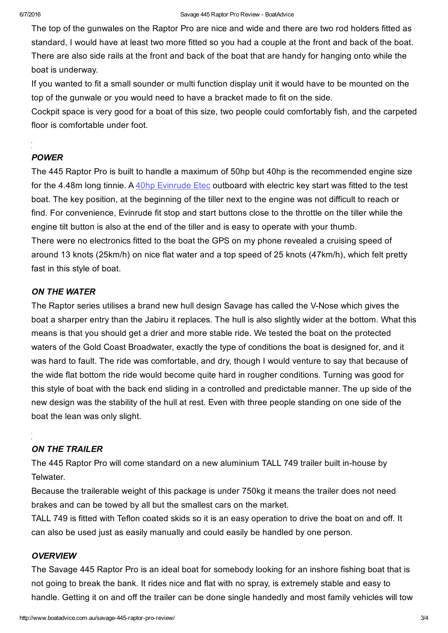The top of the gunwales on the Raptor Pro are nice and wide and there are two rod holders fitted as standard, I would have at least two more fitted so you had a couple at the front and back of the boat. There are also side rails at the front and back of the boat that are handy for hanging onto while the boat is underway.

If you wanted to fit a small sounder or multi function display unit it would have to be mounted on the top of the gunwale or you would need to have a bracket made to fit on the side.

Cockpit space is very good for a boat of this size, two people could comfortably fish, and the carpeted floor is comfortable under foot.

## *POWER*

The 445 Raptor Pro is built to handle a maximum of 50hp but 40hp is the recommended engine size for the 4.48m long tinnie. A 40hp [Evinrude](http://www.evinrude.com/en-au/engines/etec_inlines/etec_40_inline) Etec outboard with electric key start was fitted to the test boat. The key position, at the beginning of the tiller next to the engine was not difficult to reach or find. For convenience, Evinrude fit stop and start buttons close to the throttle on the tiller while the engine tilt button is also at the end of the tiller and is easy to operate with your thumb. There were no electronics fitted to the boat the GPS on my phone revealed a cruising speed of around 13 knots (25km/h) on nice flat water and a top speed of 25 knots (47km/h), which felt pretty fast in this style of boat.

## *ON THE WATER*

The Raptor series utilises a brand new hull design Savage has called the V-Nose which gives the boat a sharper entry than the Jabiru it replaces. The hull is also slightly wider at the bottom. What this means is that you should get a drier and more stable ride. We tested the boat on the protected waters of the Gold Coast Broadwater, exactly the type of conditions the boat is designed for, and it was hard to fault. The ride was comfortable, and dry, though I would venture to say that because of the wide flat bottom the ride would become quite hard in rougher conditions. Turning was good for this style of boat with the back end sliding in a controlled and predictable manner. The up side of the new design was the stability of the hull at rest. Even with three people standing on one side of the boat the lean was only slight.

# *ON THE TRAILER*

The 445 Raptor Pro will come standard on a new aluminium TALL 749 trailer built in-house by Telwater.

Because the trailerable weight of this package is under 750kg it means the trailer does not need brakes and can be towed by all but the smallest cars on the market.

TALL 749 is fitted with Teflon coated skids so it is an easy operation to drive the boat on and off. It can also be used just as easily manually and could easily be handled by one person.

## *OVERVIEW*

The Savage 445 Raptor Pro is an ideal boat for somebody looking for an inshore fishing boat that is not going to break the bank. It rides nice and flat with no spray, is extremely stable and easy to handle. Getting it on and off the trailer can be done single handedly and most family vehicles will tow